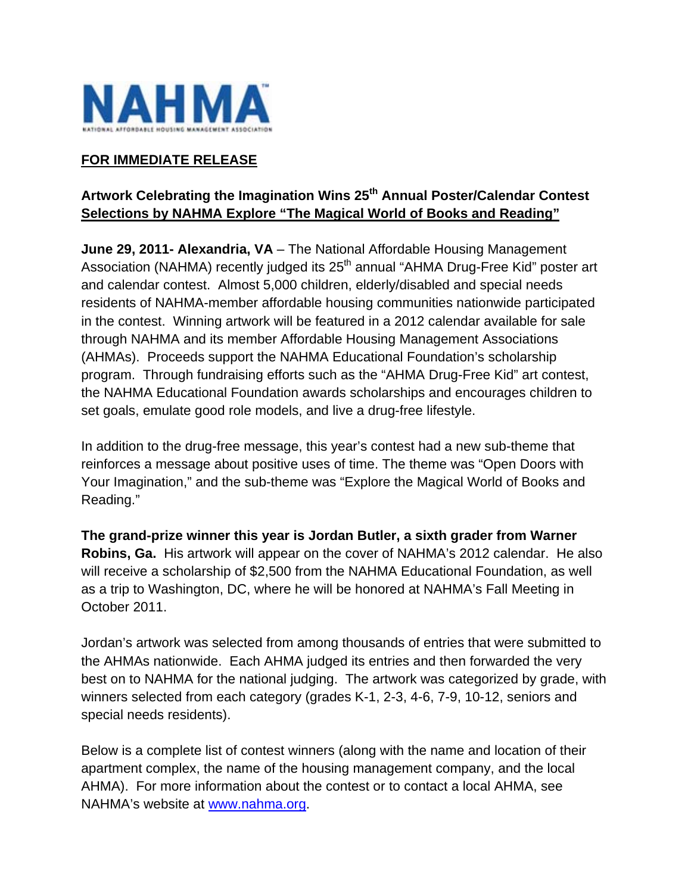

## **FOR IMMEDIATE RELEASE**

# **Artwork Celebrating the Imagination Wins 25th Annual Poster/Calendar Contest Selections by NAHMA Explore "The Magical World of Books and Reading"**

**June 29, 2011- Alexandria, VA** – The National Affordable Housing Management Association (NAHMA) recently judged its 25<sup>th</sup> annual "AHMA Drug-Free Kid" poster art and calendar contest. Almost 5,000 children, elderly/disabled and special needs residents of NAHMA-member affordable housing communities nationwide participated in the contest. Winning artwork will be featured in a 2012 calendar available for sale through NAHMA and its member Affordable Housing Management Associations (AHMAs). Proceeds support the NAHMA Educational Foundation's scholarship program. Through fundraising efforts such as the "AHMA Drug-Free Kid" art contest, the NAHMA Educational Foundation awards scholarships and encourages children to set goals, emulate good role models, and live a drug-free lifestyle.

In addition to the drug-free message, this year's contest had a new sub-theme that reinforces a message about positive uses of time. The theme was "Open Doors with Your Imagination," and the sub-theme was "Explore the Magical World of Books and Reading."

**The grand-prize winner this year is Jordan Butler, a sixth grader from Warner Robins, Ga.** His artwork will appear on the cover of NAHMA's 2012 calendar. He also will receive a scholarship of \$2,500 from the NAHMA Educational Foundation, as well as a trip to Washington, DC, where he will be honored at NAHMA's Fall Meeting in October 2011.

Jordan's artwork was selected from among thousands of entries that were submitted to the AHMAs nationwide. Each AHMA judged its entries and then forwarded the very best on to NAHMA for the national judging. The artwork was categorized by grade, with winners selected from each category (grades K-1, 2-3, 4-6, 7-9, 10-12, seniors and special needs residents).

Below is a complete list of contest winners (along with the name and location of their apartment complex, the name of the housing management company, and the local AHMA). For more information about the contest or to contact a local AHMA, see NAHMA's website at www.nahma.org.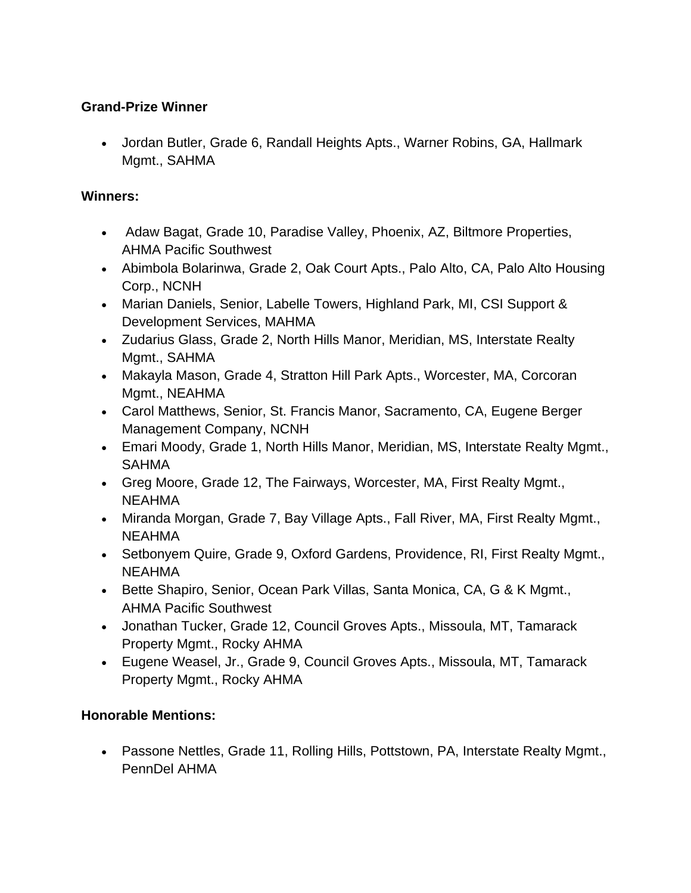### **Grand-Prize Winner**

 Jordan Butler, Grade 6, Randall Heights Apts., Warner Robins, GA, Hallmark Mgmt., SAHMA

#### **Winners:**

- Adaw Bagat, Grade 10, Paradise Valley, Phoenix, AZ, Biltmore Properties, AHMA Pacific Southwest
- Abimbola Bolarinwa, Grade 2, Oak Court Apts., Palo Alto, CA, Palo Alto Housing Corp., NCNH
- Marian Daniels, Senior, Labelle Towers, Highland Park, MI, CSI Support & Development Services, MAHMA
- Zudarius Glass, Grade 2, North Hills Manor, Meridian, MS, Interstate Realty Mgmt., SAHMA
- Makayla Mason, Grade 4, Stratton Hill Park Apts., Worcester, MA, Corcoran Mgmt., NEAHMA
- Carol Matthews, Senior, St. Francis Manor, Sacramento, CA, Eugene Berger Management Company, NCNH
- Emari Moody, Grade 1, North Hills Manor, Meridian, MS, Interstate Realty Mgmt., SAHMA
- Greg Moore, Grade 12, The Fairways, Worcester, MA, First Realty Mgmt., NEAHMA
- Miranda Morgan, Grade 7, Bay Village Apts., Fall River, MA, First Realty Mgmt., NEAHMA
- Setbonyem Quire, Grade 9, Oxford Gardens, Providence, RI, First Realty Mgmt., NEAHMA
- Bette Shapiro, Senior, Ocean Park Villas, Santa Monica, CA, G & K Mgmt., AHMA Pacific Southwest
- Jonathan Tucker, Grade 12, Council Groves Apts., Missoula, MT, Tamarack Property Mgmt., Rocky AHMA
- Eugene Weasel, Jr., Grade 9, Council Groves Apts., Missoula, MT, Tamarack Property Mgmt., Rocky AHMA

## **Honorable Mentions:**

 Passone Nettles, Grade 11, Rolling Hills, Pottstown, PA, Interstate Realty Mgmt., PennDel AHMA